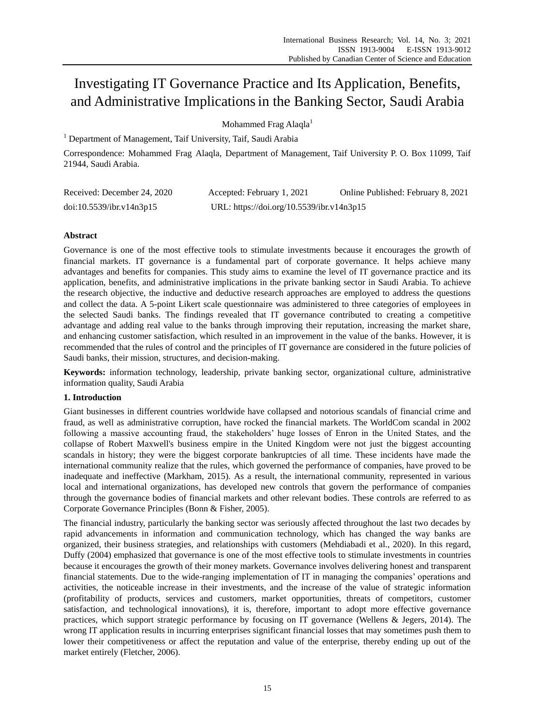# Investigating IT Governance Practice and Its Application, Benefits, and Administrative Implicationsin the Banking Sector, Saudi Arabia

Mohammed Frag Alaqla<sup>1</sup>

<sup>1</sup> Department of Management, Taif University, Taif, Saudi Arabia

Correspondence: Mohammed Frag Alaqla, Department of Management, Taif University P. O. Box 11099, Taif 21944, Saudi Arabia.

| Received: December 24, 2020 | Accepted: February 1, 2021                | Online Published: February 8, 2021 |
|-----------------------------|-------------------------------------------|------------------------------------|
| doi:10.5539/ibr.v14n3p15    | URL: https://doi.org/10.5539/ibr.v14n3p15 |                                    |

# **Abstract**

Governance is one of the most effective tools to stimulate investments because it encourages the growth of financial markets. IT governance is a fundamental part of corporate governance. It helps achieve many advantages and benefits for companies. This study aims to examine the level of IT governance practice and its application, benefits, and administrative implications in the private banking sector in Saudi Arabia. To achieve the research objective, the inductive and deductive research approaches are employed to address the questions and collect the data. A 5-point Likert scale questionnaire was administered to three categories of employees in the selected Saudi banks. The findings revealed that IT governance contributed to creating a competitive advantage and adding real value to the banks through improving their reputation, increasing the market share, and enhancing customer satisfaction, which resulted in an improvement in the value of the banks. However, it is recommended that the rules of control and the principles of IT governance are considered in the future policies of Saudi banks, their mission, structures, and decision-making.

**Keywords:** information technology, leadership, private banking sector, organizational culture, administrative information quality, Saudi Arabia

# **1. Introduction**

Giant businesses in different countries worldwide have collapsed and notorious scandals of financial crime and fraud, as well as administrative corruption, have rocked the financial markets. The WorldCom scandal in 2002 following a massive accounting fraud, the stakeholders' huge losses of Enron in the United States, and the collapse of Robert Maxwell's business empire in the United Kingdom were not just the biggest accounting scandals in history; they were the biggest corporate bankruptcies of all time. These incidents have made the international community realize that the rules, which governed the performance of companies, have proved to be inadequate and ineffective (Markham, 2015). As a result, the international community, represented in various local and international organizations, has developed new controls that govern the performance of companies through the governance bodies of financial markets and other relevant bodies. These controls are referred to as Corporate Governance Principles (Bonn & Fisher, 2005).

The financial industry, particularly the banking sector was seriously affected throughout the last two decades by rapid advancements in information and communication technology, which has changed the way banks are organized, their business strategies, and relationships with customers (Mehdiabadi et al., 2020). In this regard, Duffy (2004) emphasized that governance is one of the most effective tools to stimulate investments in countries because it encourages the growth of their money markets. Governance involves delivering honest and transparent financial statements. Due to the wide-ranging implementation of IT in managing the companies' operations and activities, the noticeable increase in their investments, and the increase of the value of strategic information (profitability of products, services and customers, market opportunities, threats of competitors, customer satisfaction, and technological innovations), it is, therefore, important to adopt more effective governance practices, which support strategic performance by focusing on IT governance (Wellens & Jegers, 2014). The wrong IT application results in incurring enterprises significant financial losses that may sometimes push them to lower their competitiveness or affect the reputation and value of the enterprise, thereby ending up out of the market entirely (Fletcher, 2006).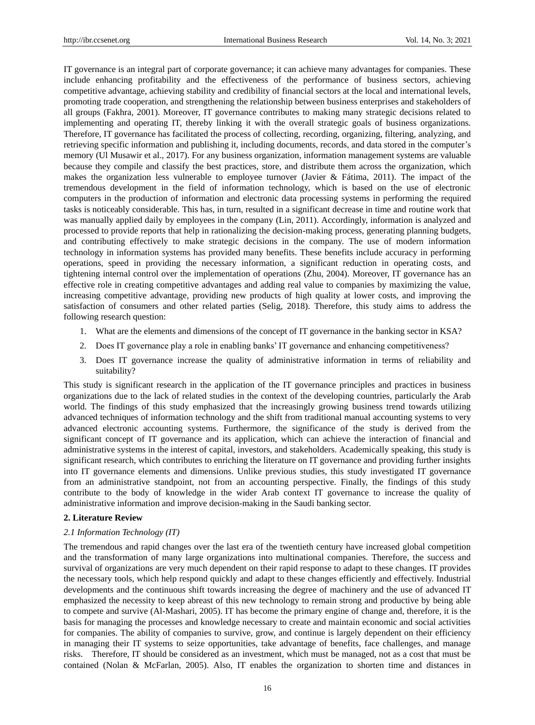IT governance is an integral part of corporate governance; it can achieve many advantages for companies. These include enhancing profitability and the effectiveness of the performance of business sectors, achieving competitive advantage, achieving stability and credibility of financial sectors at the local and international levels, promoting trade cooperation, and strengthening the relationship between business enterprises and stakeholders of all groups (Fakhra, 2001). Moreover, IT governance contributes to making many strategic decisions related to implementing and operating IT, thereby linking it with the overall strategic goals of business organizations. Therefore, IT governance has facilitated the process of collecting, recording, organizing, filtering, analyzing, and retrieving specific information and publishing it, including documents, records, and data stored in the computer's memory (Ul Musawir et al., 2017). For any business organization, information management systems are valuable because they compile and classify the best practices, store, and distribute them across the organization, which makes the organization less vulnerable to employee turnover (Javier & Fátima, 2011). The impact of the tremendous development in the field of information technology, which is based on the use of electronic computers in the production of information and electronic data processing systems in performing the required tasks is noticeably considerable. This has, in turn, resulted in a significant decrease in time and routine work that was manually applied daily by employees in the company (Lin, 2011). Accordingly, information is analyzed and processed to provide reports that help in rationalizing the decision-making process, generating planning budgets, and contributing effectively to make strategic decisions in the company. The use of modern information technology in information systems has provided many benefits. These benefits include accuracy in performing operations, speed in providing the necessary information, a significant reduction in operating costs, and tightening internal control over the implementation of operations (Zhu, 2004). Moreover, IT governance has an effective role in creating competitive advantages and adding real value to companies by maximizing the value, increasing competitive advantage, providing new products of high quality at lower costs, and improving the satisfaction of consumers and other related parties (Selig, 2018). Therefore, this study aims to address the following research question:

- 1. What are the elements and dimensions of the concept of IT governance in the banking sector in KSA?
- 2. Does IT governance play a role in enabling banks' IT governance and enhancing competitiveness?
- 3. Does IT governance increase the quality of administrative information in terms of reliability and suitability?

This study is significant research in the application of the IT governance principles and practices in business organizations due to the lack of related studies in the context of the developing countries, particularly the Arab world. The findings of this study emphasized that the increasingly growing business trend towards utilizing advanced techniques of information technology and the shift from traditional manual accounting systems to very advanced electronic accounting systems. Furthermore, the significance of the study is derived from the significant concept of IT governance and its application, which can achieve the interaction of financial and administrative systems in the interest of capital, investors, and stakeholders. Academically speaking, this study is significant research, which contributes to enriching the literature on IT governance and providing further insights into IT governance elements and dimensions. Unlike previous studies, this study investigated IT governance from an administrative standpoint, not from an accounting perspective. Finally, the findings of this study contribute to the body of knowledge in the wider Arab context IT governance to increase the quality of administrative information and improve decision-making in the Saudi banking sector.

## **2. Literature Review**

#### *2.1 Information Technology (IT)*

The tremendous and rapid changes over the last era of the twentieth century have increased global competition and the transformation of many large organizations into multinational companies. Therefore, the success and survival of organizations are very much dependent on their rapid response to adapt to these changes. IT provides the necessary tools, which help respond quickly and adapt to these changes efficiently and effectively. Industrial developments and the continuous shift towards increasing the degree of machinery and the use of advanced IT emphasized the necessity to keep abreast of this new technology to remain strong and productive by being able to compete and survive (Al-Mashari, 2005). IT has become the primary engine of change and, therefore, it is the basis for managing the processes and knowledge necessary to create and maintain economic and social activities for companies. The ability of companies to survive, grow, and continue is largely dependent on their efficiency in managing their IT systems to seize opportunities, take advantage of benefits, face challenges, and manage risks. Therefore, IT should be considered as an investment, which must be managed, not as a cost that must be contained (Nolan & McFarlan, 2005). Also, IT enables the organization to shorten time and distances in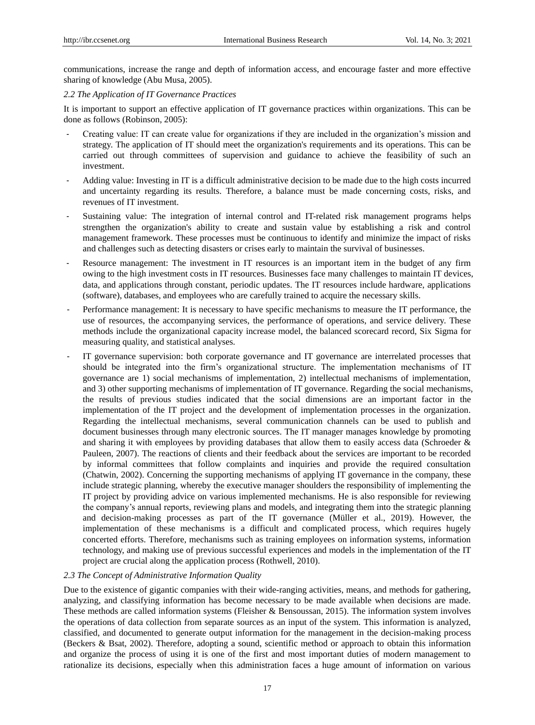communications, increase the range and depth of information access, and encourage faster and more effective sharing of knowledge (Abu Musa, 2005).

#### *2.2 The Application of IT Governance Practices*

It is important to support an effective application of IT governance practices within organizations. This can be done as follows (Robinson, 2005):

- Creating value: IT can create value for organizations if they are included in the organization's mission and strategy. The application of IT should meet the organization's requirements and its operations. This can be carried out through committees of supervision and guidance to achieve the feasibility of such an investment.
- Adding value: Investing in IT is a difficult administrative decision to be made due to the high costs incurred and uncertainty regarding its results. Therefore, a balance must be made concerning costs, risks, and revenues of IT investment.
- Sustaining value: The integration of internal control and IT-related risk management programs helps strengthen the organization's ability to create and sustain value by establishing a risk and control management framework. These processes must be continuous to identify and minimize the impact of risks and challenges such as detecting disasters or crises early to maintain the survival of businesses.
- Resource management: The investment in IT resources is an important item in the budget of any firm owing to the high investment costs in IT resources. Businesses face many challenges to maintain IT devices, data, and applications through constant, periodic updates. The IT resources include hardware, applications (software), databases, and employees who are carefully trained to acquire the necessary skills.
- Performance management: It is necessary to have specific mechanisms to measure the IT performance, the use of resources, the accompanying services, the performance of operations, and service delivery. These methods include the organizational capacity increase model, the balanced scorecard record, Six Sigma for measuring quality, and statistical analyses.
- IT governance supervision: both corporate governance and IT governance are interrelated processes that should be integrated into the firm's organizational structure. The implementation mechanisms of IT governance are 1) social mechanisms of implementation, 2) intellectual mechanisms of implementation, and 3) other supporting mechanisms of implementation of IT governance. Regarding the social mechanisms, the results of previous studies indicated that the social dimensions are an important factor in the implementation of the IT project and the development of implementation processes in the organization. Regarding the intellectual mechanisms, several communication channels can be used to publish and document businesses through many electronic sources. The IT manager manages knowledge by promoting and sharing it with employees by providing databases that allow them to easily access data (Schroeder  $\&$ Pauleen, 2007). The reactions of clients and their feedback about the services are important to be recorded by informal committees that follow complaints and inquiries and provide the required consultation (Chatwin, 2002). Concerning the supporting mechanisms of applying IT governance in the company, these include strategic planning, whereby the executive manager shoulders the responsibility of implementing the IT project by providing advice on various implemented mechanisms. He is also responsible for reviewing the company's annual reports, reviewing plans and models, and integrating them into the strategic planning and decision-making processes as part of the IT governance (Müller et al., 2019). However, the implementation of these mechanisms is a difficult and complicated process, which requires hugely concerted efforts. Therefore, mechanisms such as training employees on information systems, information technology, and making use of previous successful experiences and models in the implementation of the IT project are crucial along the application process (Rothwell, 2010).

## *2.3 The Concept of Administrative Information Quality*

Due to the existence of gigantic companies with their wide-ranging activities, means, and methods for gathering, analyzing, and classifying information has become necessary to be made available when decisions are made. These methods are called information systems (Fleisher & Bensoussan, 2015). The information system involves the operations of data collection from separate sources as an input of the system. This information is analyzed, classified, and documented to generate output information for the management in the decision-making process (Beckers & Bsat, 2002). Therefore, adopting a sound, scientific method or approach to obtain this information and organize the process of using it is one of the first and most important duties of modern management to rationalize its decisions, especially when this administration faces a huge amount of information on various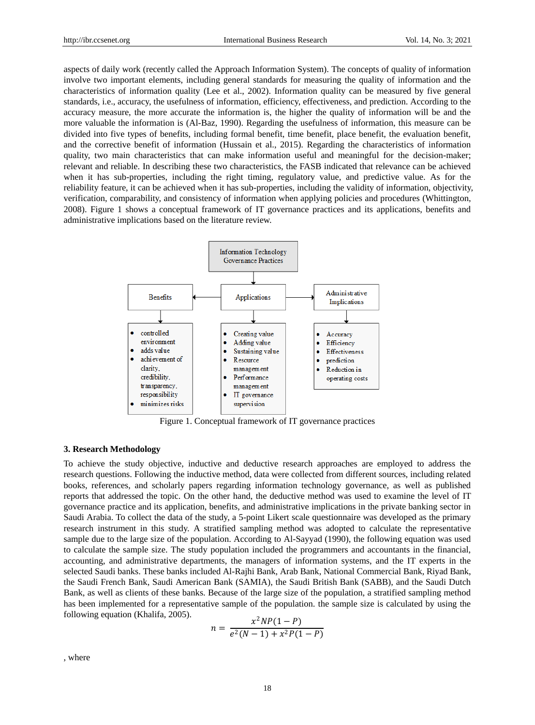aspects of daily work (recently called the Approach Information System). The concepts of quality of information involve two important elements, including general standards for measuring the quality of information and the characteristics of information quality (Lee et al., 2002). Information quality can be measured by five general standards, i.e., accuracy, the usefulness of information, efficiency, effectiveness, and prediction. According to the accuracy measure, the more accurate the information is, the higher the quality of information will be and the more valuable the information is (Al-Baz, 1990). Regarding the usefulness of information, this measure can be divided into five types of benefits, including formal benefit, time benefit, place benefit, the evaluation benefit, and the corrective benefit of information (Hussain et al., 2015). Regarding the characteristics of information quality, two main characteristics that can make information useful and meaningful for the decision-maker; relevant and reliable. In describing these two characteristics, the FASB indicated that relevance can be achieved when it has sub-properties, including the right timing, regulatory value, and predictive value. As for the reliability feature, it can be achieved when it has sub-properties, including the validity of information, objectivity, verification, comparability, and consistency of information when applying policies and procedures (Whittington, 2008). Figure 1 shows a conceptual framework of IT governance practices and its applications, benefits and administrative implications based on the literature review.



Figure 1. Conceptual framework of IT governance practices

#### **3. Research Methodology**

To achieve the study objective, inductive and deductive research approaches are employed to address the research questions. Following the inductive method, data were collected from different sources, including related books, references, and scholarly papers regarding information technology governance, as well as published reports that addressed the topic. On the other hand, the deductive method was used to examine the level of IT governance practice and its application, benefits, and administrative implications in the private banking sector in Saudi Arabia. To collect the data of the study, a 5-point Likert scale questionnaire was developed as the primary research instrument in this study. A stratified sampling method was adopted to calculate the representative sample due to the large size of the population. According to Al-Sayyad (1990), the following equation was used to calculate the sample size. The study population included the programmers and accountants in the financial, accounting, and administrative departments, the managers of information systems, and the IT experts in the selected Saudi banks. These banks included Al-Rajhi Bank, Arab Bank, National Commercial Bank, Riyad Bank, the Saudi French Bank, Saudi American Bank (SAMIA), the Saudi British Bank (SABB), and the Saudi Dutch Bank, as well as clients of these banks. Because of the large size of the population, a stratified sampling method has been implemented for a representative sample of the population. the sample size is calculated by using the following equation (Khalifa, 2005).

$$
n = \frac{x^2 NP(1 - P)}{e^2(N - 1) + x^2 P(1 - P)}
$$

, where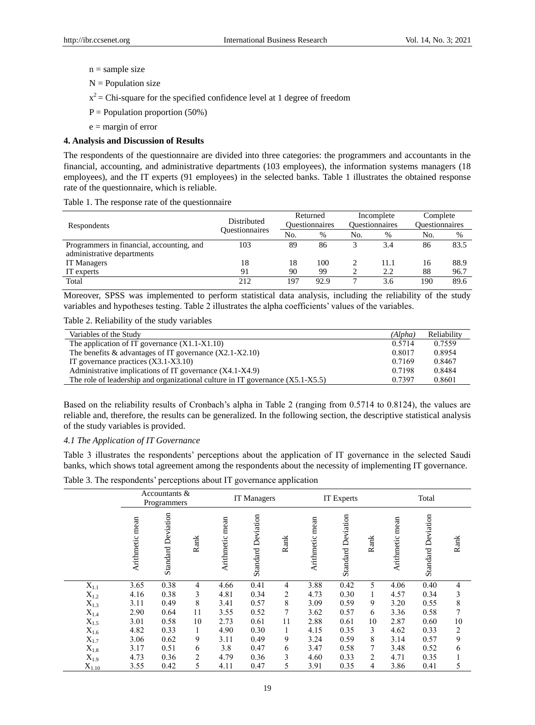- $n =$ sample size
- $N =$  Population size
- $x^2$  = Chi-square for the specified confidence level at 1 degree of freedom
- $P =$  Population proportion (50%)
- $e =$  margin of error

## **4. Analysis and Discussion of Results**

The respondents of the questionnaire are divided into three categories: the programmers and accountants in the financial, accounting, and administrative departments (103 employees), the information systems managers (18 employees), and the IT experts (91 employees) in the selected banks. Table 1 illustrates the obtained response rate of the questionnaire, which is reliable.

|  | Table 1. The response rate of the questionnaire |  |  |
|--|-------------------------------------------------|--|--|
|--|-------------------------------------------------|--|--|

| Respondents                               | Distributed           |     | Returned<br><b>Ouestionnaires</b> |     | Incomplete<br><b>Ouestionnaires</b> | Complete<br><b>Ouestionnaires</b> |      |
|-------------------------------------------|-----------------------|-----|-----------------------------------|-----|-------------------------------------|-----------------------------------|------|
|                                           | <b>Ouestionnaires</b> | No. | %                                 | No. | %                                   | No.                               | %    |
| Programmers in financial, accounting, and | 103                   | 89  | 86                                |     | 3.4                                 | 86                                | 83.5 |
| administrative departments                |                       |     |                                   |     |                                     |                                   |      |
| IT Managers                               | 18                    | 18  | 100                               |     | 11.1                                | 16                                | 88.9 |
| IT experts                                | 91                    | 90  | 99                                |     | 2.2                                 | 88                                | 96.7 |
| Total                                     | 212                   | 197 | 92.9                              |     | 3.6                                 | 190                               | 89.6 |

Moreover, SPSS was implemented to perform statistical data analysis, including the reliability of the study variables and hypotheses testing. Table 2 illustrates the alpha coefficients' values of the variables.

Table 2. Reliability of the study variables

| Variables of the Study                                                           | (Alpha) | Reliability |
|----------------------------------------------------------------------------------|---------|-------------|
| The application of IT governance $(X1.1-X1.10)$                                  | 0.5714  | 0.7559      |
| The benefits $\&$ advantages of IT governance $(X2.1-X2.10)$                     | 0.8017  | 0.8954      |
| IT governance practices $(X3.1-X3.10)$                                           | 0.7169  | 0.8467      |
| Administrative implications of IT governance (X4.1-X4.9)                         | 0.7198  | 0.8484      |
| The role of leadership and organizational culture in IT governance $(X5.1-X5.5)$ | 0.7397  | 0.8601      |

Based on the reliability results of Cronbach's alpha in Table 2 (ranging from 0.5714 to 0.8124), the values are reliable and, therefore, the results can be generalized. In the following section, the descriptive statistical analysis of the study variables is provided.

## *4.1 The Application of IT Governance*

Table 3 illustrates the respondents' perceptions about the application of IT governance in the selected Saudi banks, which shows total agreement among the respondents about the necessity of implementing IT governance.

Table 3. The respondents' perceptions about IT governance application

|                    |                 | Accountants &<br>Programmers |                |                 | IT Managers               |                |                 | IT Experts                |      | Total           |                           |                |
|--------------------|-----------------|------------------------------|----------------|-----------------|---------------------------|----------------|-----------------|---------------------------|------|-----------------|---------------------------|----------------|
|                    | Arithmetic mean | <b>Standard Deviation</b>    | Rank           | Arithmetic mean | <b>Standard Deviation</b> | Rank           | Arithmetic mean | <b>Standard Deviation</b> | Rank | Arithmetic mean | <b>Standard Deviation</b> | Rank           |
| $X_{1.1}$          | 3.65            | 0.38                         | $\overline{4}$ | 4.66            | 0.41                      | 4              | 3.88            | 0.42                      | 5    | 4.06            | 0.40                      | 4              |
| $X_{1.2}$          | 4.16            | 0.38                         | 3              | 4.81            | 0.34                      | $\overline{2}$ | 4.73            | 0.30                      | 1    | 4.57            | 0.34                      | 3              |
| $\mathbf{X}_{1.3}$ | 3.11            | 0.49                         | 8              | 3.41            | 0.57                      | 8              | 3.09            | 0.59                      | 9    | 3.20            | 0.55                      | 8              |
| $X_{1.4}$          | 2.90            | 0.64                         | 11             | 3.55            | 0.52                      | 7              | 3.62            | 0.57                      | 6    | 3.36            | 0.58                      | 7              |
| $X_{1.5}$          | 3.01            | 0.58                         | 10             | 2.73            | 0.61                      | 11             | 2.88            | 0.61                      | 10   | 2.87            | 0.60                      | 10             |
| $X_{1.6}$          | 4.82            | 0.33                         | 1              | 4.90            | 0.30                      |                | 4.15            | 0.35                      | 3    | 4.62            | 0.33                      | $\overline{2}$ |
| $X_{1.7}$          | 3.06            | 0.62                         | 9              | 3.11            | 0.49                      | 9              | 3.24            | 0.59                      | 8    | 3.14            | 0.57                      | 9              |
| $X_{1.8}$          | 3.17            | 0.51                         | 6              | 3.8             | 0.47                      | 6              | 3.47            | 0.58                      |      | 3.48            | 0.52                      | 6              |
| $X_{1.9}$          | 4.73            | 0.36                         | 2              | 4.79            | 0.36                      | 3              | 4.60            | 0.33                      | 2    | 4.71            | 0.35                      |                |
| $X_{1.10}$         | 3.55            | 0.42                         | 5              | 4.11            | 0.47                      | 5              | 3.91            | 0.35                      | 4    | 3.86            | 0.41                      | 5              |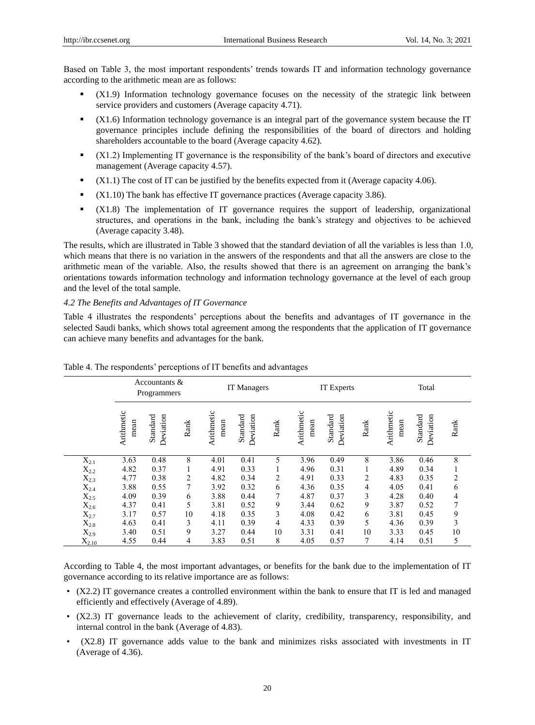Based on Table 3, the most important respondents' trends towards IT and information technology governance according to the arithmetic mean are as follows:

- (X1.9) Information technology governance focuses on the necessity of the strategic link between service providers and customers (Average capacity 4.71).
- (X1.6) Information technology governance is an integral part of the governance system because the IT governance principles include defining the responsibilities of the board of directors and holding shareholders accountable to the board (Average capacity 4.62).
- (X1.2) Implementing IT governance is the responsibility of the bank's board of directors and executive management (Average capacity 4.57).
- $\blacksquare$  (X1.1) The cost of IT can be justified by the benefits expected from it (Average capacity 4.06).
- $\blacksquare$  (X1.10) The bank has effective IT governance practices (Average capacity 3.86).
- (X1.8) The implementation of IT governance requires the support of leadership, organizational structures, and operations in the bank, including the bank's strategy and objectives to be achieved (Average capacity 3.48).

The results, which are illustrated in Table 3 showed that the standard deviation of all the variables is less than 1.0, which means that there is no variation in the answers of the respondents and that all the answers are close to the arithmetic mean of the variable. Also, the results showed that there is an agreement on arranging the bank's orientations towards information technology and information technology governance at the level of each group and the level of the total sample.

*4.2 The Benefits and Advantages of IT Governance*

Table 4 illustrates the respondents' perceptions about the benefits and advantages of IT governance in the selected Saudi banks, which shows total agreement among the respondents that the application of IT governance can achieve many benefits and advantages for the bank.

|            |                    | Accountants $\&$<br>Programmers |      | IT Managers        |                       |                |                    | IT Experts            |      | Total              |                       |                |
|------------|--------------------|---------------------------------|------|--------------------|-----------------------|----------------|--------------------|-----------------------|------|--------------------|-----------------------|----------------|
|            | Arithmetic<br>mean | Standard<br>Deviation           | Rank | Arithmetic<br>mean | Standard<br>Deviation | Rank           | Arithmetic<br>mean | Standard<br>Deviation | Rank | Arithmetic<br>mean | Standard<br>Deviation | Rank           |
| $X_{2.1}$  | 3.63               | 0.48                            | 8    | 4.01               | 0.41                  | 5              | 3.96               | 0.49                  | 8    | 3.86               | 0.46                  | $\,8\,$        |
| $X_{2.2}$  | 4.82               | 0.37                            | Τ.   | 4.91               | 0.33                  | 1              | 4.96               | 0.31                  |      | 4.89               | 0.34                  |                |
| $X_{2.3}$  | 4.77               | 0.38                            | 2    | 4.82               | 0.34                  | $\overline{c}$ | 4.91               | 0.33                  | 2    | 4.83               | 0.35                  | $\overline{c}$ |
| $X_{2.4}$  | 3.88               | 0.55                            | 7    | 3.92               | 0.32                  | 6              | 4.36               | 0.35                  | 4    | 4.05               | 0.41                  | 6              |
| $X_{2.5}$  | 4.09               | 0.39                            | 6    | 3.88               | 0.44                  | $\overline{7}$ | 4.87               | 0.37                  | 3    | 4.28               | 0.40                  | 4              |
| $X_{2.6}$  | 4.37               | 0.41                            | 5    | 3.81               | 0.52                  | 9              | 3.44               | 0.62                  | 9    | 3.87               | 0.52                  | 7              |
| $X_{2.7}$  | 3.17               | 0.57                            | 10   | 4.18               | 0.35                  | 3              | 4.08               | 0.42                  | 6    | 3.81               | 0.45                  | 9              |
| $X_{2.8}$  | 4.63               | 0.41                            | 3    | 4.11               | 0.39                  | $\overline{4}$ | 4.33               | 0.39                  | 5    | 4.36               | 0.39                  | 3              |
| $X_{2.9}$  | 3.40               | 0.51                            | 9    | 3.27               | 0.44                  | 10             | 3.31               | 0.41                  | 10   | 3.33               | 0.45                  | 10             |
| $X_{2.10}$ | 4.55               | 0.44                            | 4    | 3.83               | 0.51                  | 8              | 4.05               | 0.57                  | 7    | 4.14               | 0.51                  | 5              |

Table 4. The respondents' perceptions of IT benefits and advantages

According to Table 4, the most important advantages, or benefits for the bank due to the implementation of IT governance according to its relative importance are as follows:

- (X2.2) IT governance creates a controlled environment within the bank to ensure that IT is led and managed efficiently and effectively (Average of 4.89).
- (X2.3) IT governance leads to the achievement of clarity, credibility, transparency, responsibility, and internal control in the bank (Average of 4.83).
- (X2.8) IT governance adds value to the bank and minimizes risks associated with investments in IT (Average of 4.36).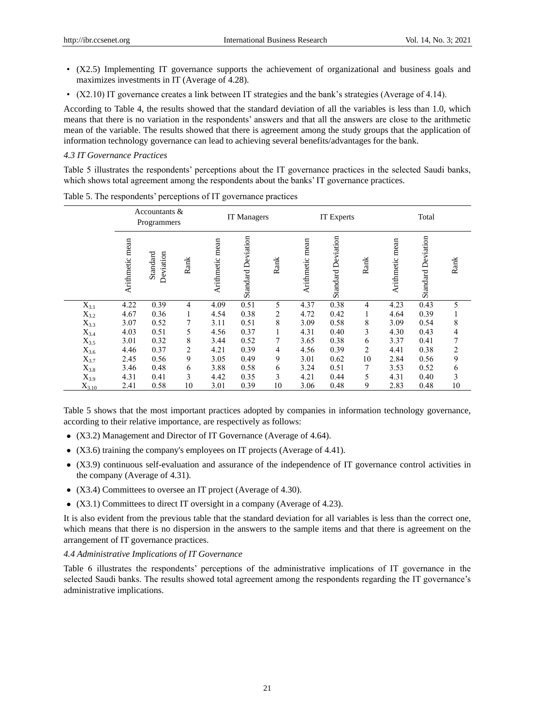- (X2.5) Implementing IT governance supports the achievement of organizational and business goals and maximizes investments in IT (Average of 4.28).
- (X2.10) IT governance creates a link between IT strategies and the bank's strategies (Average of 4.14).

According to Table 4, the results showed that the standard deviation of all the variables is less than 1.0, which means that there is no variation in the respondents' answers and that all the answers are close to the arithmetic mean of the variable. The results showed that there is agreement among the study groups that the application of information technology governance can lead to achieving several benefits/advantages for the bank.

## *4.3 IT Governance Practices*

Table 5 illustrates the respondents' perceptions about the IT governance practices in the selected Saudi banks, which shows total agreement among the respondents about the banks' IT governance practices.

|            |                 | Accountants $\&$<br>Programmers |      | IT Managers     |                           |      |                 | IT Experts                |                |                 | Total                     |                |  |
|------------|-----------------|---------------------------------|------|-----------------|---------------------------|------|-----------------|---------------------------|----------------|-----------------|---------------------------|----------------|--|
|            | Arithmetic mean | Standard<br>Deviation           | Rank | Arithmetic mean | <b>Standard Deviation</b> | Rank | Arithmetic mean | <b>Standard Deviation</b> | Rank           | Arithmetic mean | <b>Standard Deviation</b> | Rank           |  |
| $X_{3.1}$  | 4.22            | 0.39                            | 4    | 4.09            | 0.51                      | 5    | 4.37            | 0.38                      | 4              | 4.23            | 0.43                      | 5              |  |
| $X_{3.2}$  | 4.67            | 0.36                            |      | 4.54            | 0.38                      | 2    | 4.72            | 0.42                      | 1              | 4.64            | 0.39                      |                |  |
| $X_{3.3}$  | 3.07            | 0.52                            | 7    | 3.11            | 0.51                      | 8    | 3.09            | 0.58                      | 8              | 3.09            | 0.54                      | 8              |  |
| $X_{3.4}$  | 4.03            | 0.51                            | 5    | 4.56            | 0.37                      |      | 4.31            | 0.40                      | 3              | 4.30            | 0.43                      | 4              |  |
| $X_{3.5}$  | 3.01            | 0.32                            | 8    | 3.44            | 0.52                      | 7    | 3.65            | 0.38                      | 6              | 3.37            | 0.41                      | 7              |  |
| $X_{3.6}$  | 4.46            | 0.37                            | 2    | 4.21            | 0.39                      | 4    | 4.56            | 0.39                      | $\overline{2}$ | 4.41            | 0.38                      | $\overline{c}$ |  |
| $X_{3.7}$  | 2.45            | 0.56                            | 9    | 3.05            | 0.49                      | 9    | 3.01            | 0.62                      | 10             | 2.84            | 0.56                      | 9              |  |
| $X_{3.8}$  | 3.46            | 0.48                            | 6    | 3.88            | 0.58                      | 6    | 3.24            | 0.51                      | 7              | 3.53            | 0.52                      | 6              |  |
| $X_{3.9}$  | 4.31            | 0.41                            | 3    | 4.42            | 0.35                      | 3    | 4.21            | 0.44                      | 5              | 4.31            | 0.40                      | 3              |  |
| $X_{3.10}$ | 2.41            | 0.58                            | 10   | 3.01            | 0.39                      | 10   | 3.06            | 0.48                      | 9              | 2.83            | 0.48                      | 10             |  |

Table 5. The respondents' perceptions of IT governance practices

Table 5 shows that the most important practices adopted by companies in information technology governance, according to their relative importance, are respectively as follows:

- (X3.2) Management and Director of IT Governance (Average of 4.64).
- (X3.6) training the company's employees on IT projects (Average of 4.41).
- (X3.9) continuous self-evaluation and assurance of the independence of IT governance control activities in the company (Average of 4.31).
- (X3.4) Committees to oversee an IT project (Average of 4.30).
- (X3.1) Committees to direct IT oversight in a company (Average of 4.23).

It is also evident from the previous table that the standard deviation for all variables is less than the correct one, which means that there is no dispersion in the answers to the sample items and that there is agreement on the arrangement of IT governance practices.

## *4.4 Administrative Implications of IT Governance*

Table 6 illustrates the respondents' perceptions of the administrative implications of IT governance in the selected Saudi banks. The results showed total agreement among the respondents regarding the IT governance's administrative implications.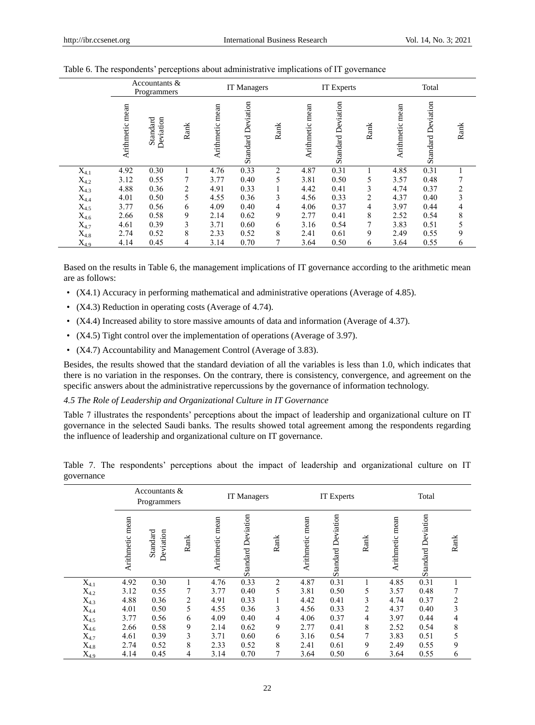|           |                 | Accountants &<br>Programmers |      | IT Managers     |                           |      |                    | <b>IT Experts</b>         |                |                    | Total                 |      |  |
|-----------|-----------------|------------------------------|------|-----------------|---------------------------|------|--------------------|---------------------------|----------------|--------------------|-----------------------|------|--|
|           | Arithmetic mean | Standard<br>Deviation        | Rank | Arithmetic mean | <b>Standard Deviation</b> | Rank | mean<br>Arithmetic | <b>Standard Deviation</b> | Rank           | mean<br>Arithmetic | Deviation<br>Standard | Rank |  |
| $X_{4.1}$ | 4.92            | 0.30                         |      | 4.76            | 0.33                      | 2    | 4.87               | 0.31                      |                | 4.85               | 0.31                  |      |  |
| $X_{4.2}$ | 3.12            | 0.55                         | 7    | 3.77            | 0.40                      | 5    | 3.81               | 0.50                      | 5              | 3.57               | 0.48                  |      |  |
| $X_{4.3}$ | 4.88            | 0.36                         | 2    | 4.91            | 0.33                      |      | 4.42               | 0.41                      | 3              | 4.74               | 0.37                  | 2    |  |
| $X_{4.4}$ | 4.01            | 0.50                         | 5    | 4.55            | 0.36                      | 3    | 4.56               | 0.33                      | $\overline{c}$ | 4.37               | 0.40                  | 3    |  |
| $X_{4.5}$ | 3.77            | 0.56                         | 6    | 4.09            | 0.40                      | 4    | 4.06               | 0.37                      | 4              | 3.97               | 0.44                  | 4    |  |
| $X_{4.6}$ | 2.66            | 0.58                         | 9    | 2.14            | 0.62                      | 9    | 2.77               | 0.41                      | 8              | 2.52               | 0.54                  | 8    |  |
| $X_{4.7}$ | 4.61            | 0.39                         | 3    | 3.71            | 0.60                      | 6    | 3.16               | 0.54                      | 7              | 3.83               | 0.51                  | 5    |  |
| $X_{4.8}$ | 2.74            | 0.52                         | 8    | 2.33            | 0.52                      | 8    | 2.41               | 0.61                      | 9              | 2.49               | 0.55                  | 9    |  |
| $X_{4.9}$ | 4.14            | 0.45                         | 4    | 3.14            | 0.70                      | 7    | 3.64               | 0.50                      | 6              | 3.64               | 0.55                  | 6    |  |

#### Table 6. The respondents' perceptions about administrative implications of IT governance

Based on the results in Table 6, the management implications of IT governance according to the arithmetic mean are as follows:

- (X4.1) Accuracy in performing mathematical and administrative operations (Average of 4.85).
- (X4.3) Reduction in operating costs (Average of 4.74).
- (X4.4) Increased ability to store massive amounts of data and information (Average of 4.37).
- (X4.5) Tight control over the implementation of operations (Average of 3.97).
- (X4.7) Accountability and Management Control (Average of 3.83).

Besides, the results showed that the standard deviation of all the variables is less than 1.0, which indicates that there is no variation in the responses. On the contrary, there is consistency, convergence, and agreement on the specific answers about the administrative repercussions by the governance of information technology.

#### *4.5 The Role of Leadership and Organizational Culture in IT Governance*

Table 7 illustrates the respondents' perceptions about the impact of leadership and organizational culture on IT governance in the selected Saudi banks. The results showed total agreement among the respondents regarding the influence of leadership and organizational culture on IT governance.

|            |  |  |  |  |  | Table 7. The respondents' perceptions about the impact of leadership and organizational culture on IT |  |  |
|------------|--|--|--|--|--|-------------------------------------------------------------------------------------------------------|--|--|
| governance |  |  |  |  |  |                                                                                                       |  |  |

|           |                    | Accountants $\&$<br>Programmers |      |                 | IT Managers               |                |                 | IT Experts                |                |                    | Total                     |      |  |
|-----------|--------------------|---------------------------------|------|-----------------|---------------------------|----------------|-----------------|---------------------------|----------------|--------------------|---------------------------|------|--|
|           | mean<br>Arithmetic | Standard<br>Deviation           | Rank | Arithmetic mean | <b>Standard Deviation</b> | Rank           | Arithmetic mean | <b>Standard Deviation</b> | Rank           | mean<br>Arithmetic | <b>Standard Deviation</b> | Rank |  |
| $X_{4.1}$ | 4.92               | 0.30                            |      | 4.76            | 0.33                      | $\overline{2}$ | 4.87            | 0.31                      |                | 4.85               | 0.31                      |      |  |
| $X_{4.2}$ | 3.12               | 0.55                            | 7    | 3.77            | 0.40                      | 5              | 3.81            | 0.50                      | 5              | 3.57               | 0.48                      |      |  |
| $X_{4.3}$ | 4.88               | 0.36                            | 2    | 4.91            | 0.33                      |                | 4.42            | 0.41                      | 3              | 4.74               | 0.37                      | 2    |  |
| $X_{4.4}$ | 4.01               | 0.50                            | 5    | 4.55            | 0.36                      | 3              | 4.56            | 0.33                      | $\overline{c}$ | 4.37               | 0.40                      | 3    |  |
| $X_{4.5}$ | 3.77               | 0.56                            | 6    | 4.09            | 0.40                      | 4              | 4.06            | 0.37                      | 4              | 3.97               | 0.44                      | 4    |  |
| $X_{4.6}$ | 2.66               | 0.58                            | 9    | 2.14            | 0.62                      | 9              | 2.77            | 0.41                      | 8              | 2.52               | 0.54                      | 8    |  |
| $X_{4.7}$ | 4.61               | 0.39                            | 3    | 3.71            | 0.60                      | 6              | 3.16            | 0.54                      | 7              | 3.83               | 0.51                      | 5    |  |
| $X_{4.8}$ | 2.74               | 0.52                            | 8    | 2.33            | 0.52                      | 8              | 2.41            | 0.61                      | 9              | 2.49               | 0.55                      | 9    |  |
| $X_{4.9}$ | 4.14               | 0.45                            | 4    | 3.14            | 0.70                      | 7              | 3.64            | 0.50                      | 6              | 3.64               | 0.55                      | 6    |  |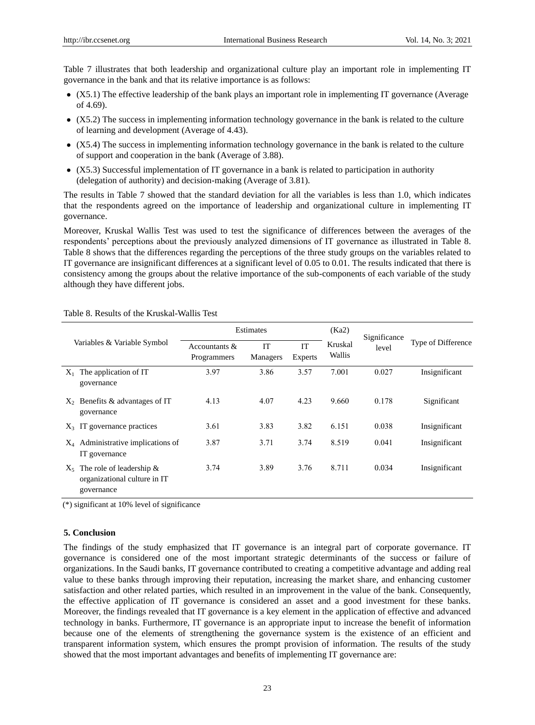Table 7 illustrates that both leadership and organizational culture play an important role in implementing IT governance in the bank and that its relative importance is as follows:

- (X5.1) The effective leadership of the bank plays an important role in implementing IT governance (Average of 4.69).
- (X5.2) The success in implementing information technology governance in the bank is related to the culture of learning and development (Average of 4.43).
- (X5.4) The success in implementing information technology governance in the bank is related to the culture of support and cooperation in the bank (Average of 3.88).
- (X5.3) Successful implementation of IT governance in a bank is related to participation in authority (delegation of authority) and decision-making (Average of 3.81).

The results in Table 7 showed that the standard deviation for all the variables is less than 1.0, which indicates that the respondents agreed on the importance of leadership and organizational culture in implementing IT governance.

Moreover, Kruskal Wallis Test was used to test the significance of differences between the averages of the respondents' perceptions about the previously analyzed dimensions of IT governance as illustrated in Table 8. Table 8 shows that the differences regarding the perceptions of the three study groups on the variables related to IT governance are insignificant differences at a significant level of 0.05 to 0.01. The results indicated that there is consistency among the groups about the relative importance of the sub-components of each variable of the study although they have different jobs.

|         |                                                                           |                              | Estimates             |               | (Ka2)             | Significance |                    |
|---------|---------------------------------------------------------------------------|------------------------------|-----------------------|---------------|-------------------|--------------|--------------------|
|         | Variables & Variable Symbol                                               | Accountants &<br>Programmers | IT<br><b>Managers</b> | IT<br>Experts | Kruskal<br>Wallis | level        | Type of Difference |
| $X_1$   | The application of IT<br>governance                                       | 3.97                         | 3.86                  | 3.57          | 7.001             | 0.027        | Insignificant      |
| $X_{2}$ | Benefits & advantages of IT<br>governance                                 | 4.13                         | 4.07                  | 4.23          | 9.660             | 0.178        | Significant        |
| $X_3$   | IT governance practices                                                   | 3.61                         | 3.83                  | 3.82          | 6.151             | 0.038        | Insignificant      |
| $X_4$   | Administrative implications of<br>IT governance                           | 3.87                         | 3.71                  | 3.74          | 8.519             | 0.041        | Insignificant      |
| $X_5$   | The role of leadership $\&$<br>organizational culture in IT<br>governance | 3.74                         | 3.89                  | 3.76          | 8.711             | 0.034        | Insignificant      |

Table 8. Results of the Kruskal-Wallis Test

(\*) significant at 10% level of significance

#### **5. Conclusion**

The findings of the study emphasized that IT governance is an integral part of corporate governance. IT governance is considered one of the most important strategic determinants of the success or failure of organizations. In the Saudi banks, IT governance contributed to creating a competitive advantage and adding real value to these banks through improving their reputation, increasing the market share, and enhancing customer satisfaction and other related parties, which resulted in an improvement in the value of the bank. Consequently, the effective application of IT governance is considered an asset and a good investment for these banks. Moreover, the findings revealed that IT governance is a key element in the application of effective and advanced technology in banks. Furthermore, IT governance is an appropriate input to increase the benefit of information because one of the elements of strengthening the governance system is the existence of an efficient and transparent information system, which ensures the prompt provision of information. The results of the study showed that the most important advantages and benefits of implementing IT governance are: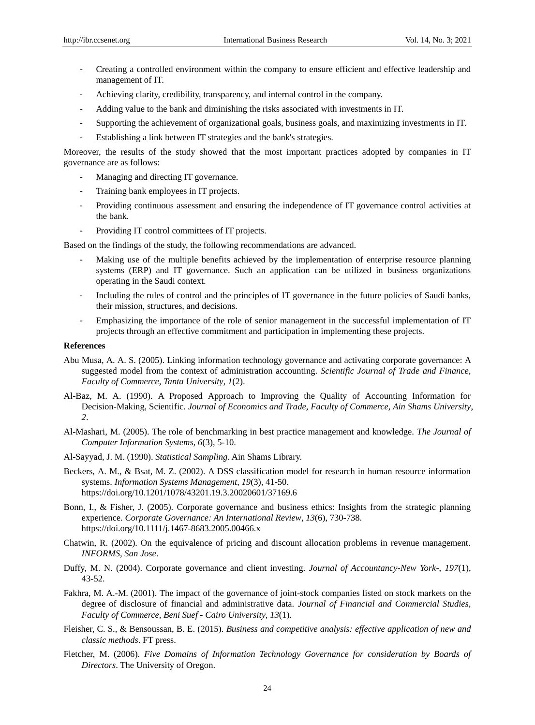- Creating a controlled environment within the company to ensure efficient and effective leadership and management of IT.
- Achieving clarity, credibility, transparency, and internal control in the company.
- Adding value to the bank and diminishing the risks associated with investments in IT.
- Supporting the achievement of organizational goals, business goals, and maximizing investments in IT.
- Establishing a link between IT strategies and the bank's strategies.

Moreover, the results of the study showed that the most important practices adopted by companies in IT governance are as follows:

- Managing and directing IT governance.
- Training bank employees in IT projects.
- Providing continuous assessment and ensuring the independence of IT governance control activities at the bank.
- Providing IT control committees of IT projects.

Based on the findings of the study, the following recommendations are advanced.

- Making use of the multiple benefits achieved by the implementation of enterprise resource planning systems (ERP) and IT governance. Such an application can be utilized in business organizations operating in the Saudi context.
- Including the rules of control and the principles of IT governance in the future policies of Saudi banks, their mission, structures, and decisions.
- Emphasizing the importance of the role of senior management in the successful implementation of IT projects through an effective commitment and participation in implementing these projects.

## **References**

- Abu Musa, A. A. S. (2005). Linking information technology governance and activating corporate governance: A suggested model from the context of administration accounting. *Scientific Journal of Trade and Finance, Faculty of Commerce, Tanta University*, *1*(2).
- Al-Baz, M. A. (1990). A Proposed Approach to Improving the Quality of Accounting Information for Decision-Making, Scientific. *Journal of Economics and Trade, Faculty of Commerce, Ain Shams University*, *2*.
- Al-Mashari, M. (2005). The role of benchmarking in best practice management and knowledge. *The Journal of Computer Information Systems*, *6*(3), 5-10.
- Al-Sayyad, J. M. (1990). *Statistical Sampling*. Ain Shams Library.
- Beckers, A. M., & Bsat, M. Z. (2002). A DSS classification model for research in human resource information systems. *Information Systems Management*, *19*(3), 41-50. https://doi.org/10.1201/1078/43201.19.3.20020601/37169.6
- Bonn, I., & Fisher, J. (2005). Corporate governance and business ethics: Insights from the strategic planning experience. *Corporate Governance: An International Review*, *13*(6), 730-738. https://doi.org/10.1111/j.1467-8683.2005.00466.x
- Chatwin, R. (2002). On the equivalence of pricing and discount allocation problems in revenue management. *INFORMS, San Jose*.
- Duffy, M. N. (2004). Corporate governance and client investing. *Journal of Accountancy-New York-*, *197*(1), 43-52.
- Fakhra, M. A.-M. (2001). The impact of the governance of joint-stock companies listed on stock markets on the degree of disclosure of financial and administrative data. *Journal of Financial and Commercial Studies, Faculty of Commerce, Beni Suef - Cairo University*, *13*(1).
- Fleisher, C. S., & Bensoussan, B. E. (2015). *Business and competitive analysis: effective application of new and classic methods*. FT press.
- Fletcher, M. (2006). *Five Domains of Information Technology Governance for consideration by Boards of Directors*. The University of Oregon.